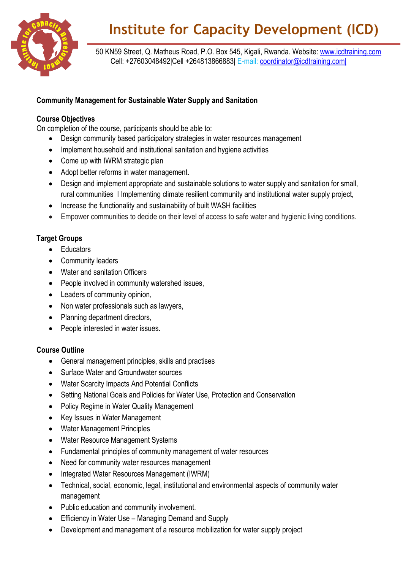

# **Institute for Capacity Development (ICD)**

 50 KN59 Street, Q. Matheus Road, P.O. Box 545, Kigali, Rwanda. Website: [www.icdtraining.com](http://www.icdtraining.com/) Cell: +27603048492|Cell +264813866883| E-mail: [coordinator@icdtraining.com|](mailto:coordinator@icdtraining.com%7C)

### **Community Management for Sustainable Water Supply and Sanitation**

#### **Course Objectives**

On completion of the course, participants should be able to:

- Design community based participatory strategies in water resources management
- Implement household and institutional sanitation and hygiene activities
- Come up with IWRM strategic plan
- Adopt better reforms in water management.
- Design and implement appropriate and sustainable solutions to water supply and sanitation for small, rural communities I Implementing climate resilient community and institutional water supply project,
- Increase the functionality and sustainability of built WASH facilities
- Empower communities to decide on their level of access to safe water and hygienic living conditions.

## **Target Groups**

- Educators
- Community leaders
- Water and sanitation Officers
- People involved in community watershed issues,
- Leaders of community opinion,
- Non water professionals such as lawyers,
- Planning department directors,
- People interested in water issues.

#### **Course Outline**

- General management principles, skills and practises
- Surface Water and Groundwater sources
- Water Scarcity Impacts And Potential Conflicts
- Setting National Goals and Policies for Water Use, Protection and Conservation
- Policy Regime in Water Quality Management
- Key Issues in Water Management
- Water Management Principles
- Water Resource Management Systems
- Fundamental principles of community management of water resources
- Need for community water resources management
- Integrated Water Resources Management (IWRM)
- Technical, social, economic, legal, institutional and environmental aspects of community water management
- Public education and community involvement.
- Efficiency in Water Use Managing Demand and Supply
- Development and management of a resource mobilization for water supply project